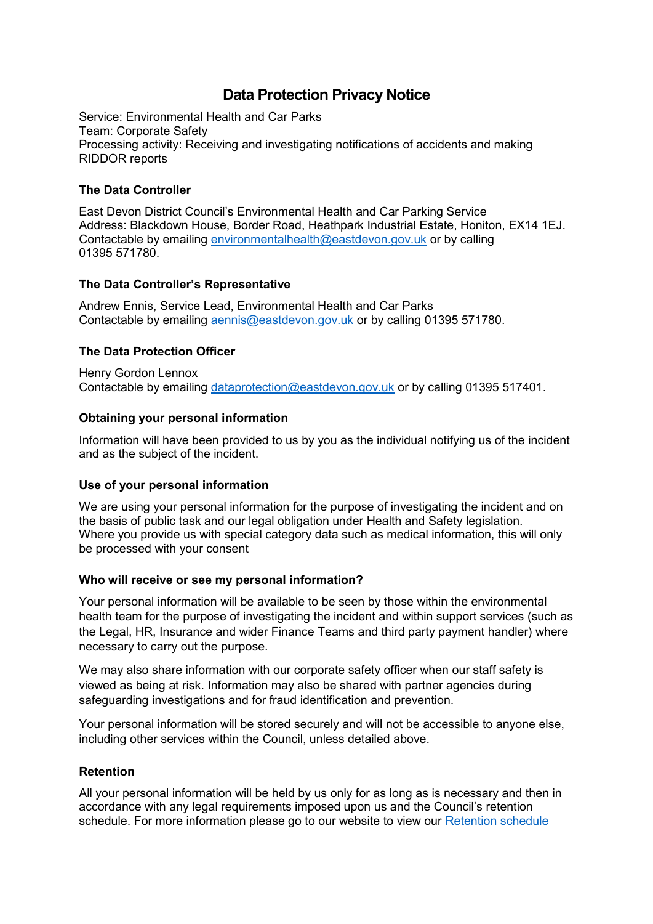# **Data Protection Privacy Notice**

Service: Environmental Health and Car Parks Team: Corporate Safety Processing activity: Receiving and investigating notifications of accidents and making RIDDOR reports

## **The Data Controller**

East Devon District Council's Environmental Health and Car Parking Service Address: Blackdown House, Border Road, Heathpark Industrial Estate, Honiton, EX14 1EJ. Contactable by emailing [environmentalhealth@eastdevon.gov.uk](mailto:environmentalhealth@eastdevon.gov.uk) or by calling 01395 571780.

## **The Data Controller's Representative**

Andrew Ennis, Service Lead, Environmental Health and Car Parks Contactable by emailing [aennis@eastdevon.gov.uk](mailto:aennis@eastdevon.gov.uk) or by calling 01395 571780.

## **The Data Protection Officer**

Henry Gordon Lennox Contactable by emailing [dataprotection@eastdevon.gov.uk](mailto:dataprotection@eastdevon.gov.uk) or by calling 01395 517401.

## **Obtaining your personal information**

Information will have been provided to us by you as the individual notifying us of the incident and as the subject of the incident.

## **Use of your personal information**

We are using your personal information for the purpose of investigating the incident and on the basis of public task and our legal obligation under Health and Safety legislation. Where you provide us with special category data such as medical information, this will only be processed with your consent

### **Who will receive or see my personal information?**

Your personal information will be available to be seen by those within the environmental health team for the purpose of investigating the incident and within support services (such as the Legal, HR, Insurance and wider Finance Teams and third party payment handler) where necessary to carry out the purpose.

We may also share information with our corporate safety officer when our staff safety is viewed as being at risk. Information may also be shared with partner agencies during safeguarding investigations and for fraud identification and prevention.

Your personal information will be stored securely and will not be accessible to anyone else, including other services within the Council, unless detailed above.

### **Retention**

All your personal information will be held by us only for as long as is necessary and then in accordance with any legal requirements imposed upon us and the Council's retention schedule. For more information please go to our website to view our [Retention schedule](http://eastdevon.gov.uk/access-to-information/data-protection/document-retention-schedules/)